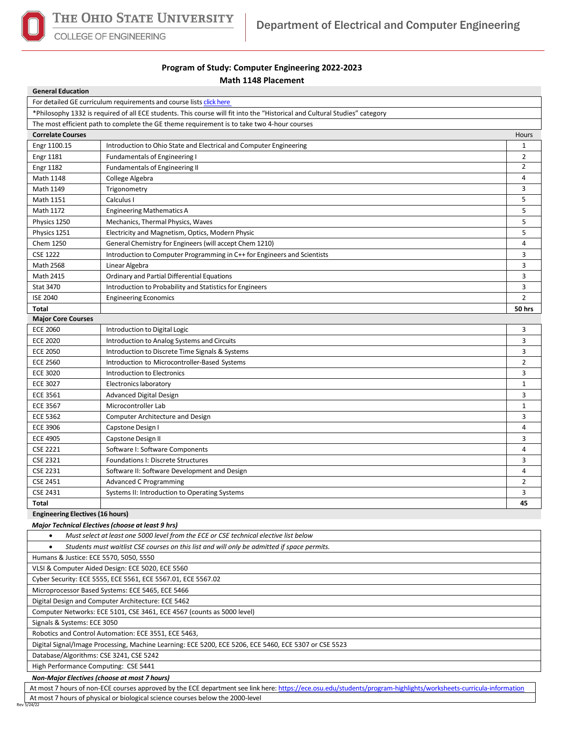

COLLEGE OF ENGINEERING

## **Program of Study: Computer Engineering 2022-2023 Math 1148 Placement**

| <b>General Education</b>                                                                                                   |                                                                          |                |  |  |  |  |
|----------------------------------------------------------------------------------------------------------------------------|--------------------------------------------------------------------------|----------------|--|--|--|--|
|                                                                                                                            | For detailed GE curriculum requirements and course lists click here      |                |  |  |  |  |
| *Philosophy 1332 is required of all ECE students. This course will fit into the "Historical and Cultural Studies" category |                                                                          |                |  |  |  |  |
| The most efficient path to complete the GE theme requirement is to take two 4-hour courses                                 |                                                                          |                |  |  |  |  |
| <b>Correlate Courses</b>                                                                                                   |                                                                          | Hours          |  |  |  |  |
| Engr 1100.15                                                                                                               | Introduction to Ohio State and Electrical and Computer Engineering       | 1              |  |  |  |  |
| <b>Engr 1181</b>                                                                                                           | <b>Fundamentals of Engineering I</b>                                     | $\overline{2}$ |  |  |  |  |
| <b>Engr 1182</b>                                                                                                           | Fundamentals of Engineering II                                           | $\overline{2}$ |  |  |  |  |
| Math 1148                                                                                                                  | College Algebra                                                          | 4              |  |  |  |  |
| Math 1149                                                                                                                  | Trigonometry                                                             | 3              |  |  |  |  |
| Math 1151                                                                                                                  | Calculus I                                                               | 5              |  |  |  |  |
| Math 1172                                                                                                                  | <b>Engineering Mathematics A</b>                                         | 5              |  |  |  |  |
| Physics 1250                                                                                                               | Mechanics, Thermal Physics, Waves                                        | 5              |  |  |  |  |
| Physics 1251                                                                                                               | Electricity and Magnetism, Optics, Modern Physic                         | 5              |  |  |  |  |
| Chem 1250                                                                                                                  | General Chemistry for Engineers (will accept Chem 1210)                  | 4              |  |  |  |  |
| <b>CSE 1222</b>                                                                                                            | Introduction to Computer Programming in C++ for Engineers and Scientists | 3              |  |  |  |  |
| Math 2568                                                                                                                  | Linear Algebra                                                           | 3              |  |  |  |  |
| Math 2415                                                                                                                  | Ordinary and Partial Differential Equations                              | 3              |  |  |  |  |
| <b>Stat 3470</b>                                                                                                           | Introduction to Probability and Statistics for Engineers                 | 3              |  |  |  |  |
| <b>ISE 2040</b>                                                                                                            | <b>Engineering Economics</b>                                             | $\overline{2}$ |  |  |  |  |
| Total                                                                                                                      |                                                                          | 50 hrs         |  |  |  |  |
| <b>Major Core Courses</b>                                                                                                  |                                                                          |                |  |  |  |  |
| <b>ECE 2060</b>                                                                                                            | Introduction to Digital Logic                                            | 3              |  |  |  |  |
| <b>ECE 2020</b>                                                                                                            | Introduction to Analog Systems and Circuits                              | 3              |  |  |  |  |
| <b>ECE 2050</b>                                                                                                            | Introduction to Discrete Time Signals & Systems                          | 3              |  |  |  |  |
| <b>ECE 2560</b>                                                                                                            | Introduction to Microcontroller-Based Systems                            | $\overline{2}$ |  |  |  |  |
| <b>ECE 3020</b>                                                                                                            | Introduction to Electronics                                              | 3              |  |  |  |  |
| <b>ECE 3027</b>                                                                                                            | Electronics laboratory                                                   | $\mathbf{1}$   |  |  |  |  |
| <b>ECE 3561</b>                                                                                                            | Advanced Digital Design                                                  | 3              |  |  |  |  |
| <b>ECE 3567</b>                                                                                                            | Microcontroller Lab                                                      | $\mathbf{1}$   |  |  |  |  |
| <b>ECE 5362</b>                                                                                                            | <b>Computer Architecture and Design</b>                                  | 3              |  |  |  |  |
| <b>ECE 3906</b>                                                                                                            | Capstone Design I                                                        | 4              |  |  |  |  |
| <b>ECE 4905</b>                                                                                                            | Capstone Design II                                                       | 3              |  |  |  |  |
| <b>CSE 2221</b>                                                                                                            | Software I: Software Components                                          | 4              |  |  |  |  |
| <b>CSE 2321</b>                                                                                                            | Foundations I: Discrete Structures                                       | 3              |  |  |  |  |
| <b>CSE 2231</b>                                                                                                            | Software II: Software Development and Design                             | 4              |  |  |  |  |
| <b>CSE 2451</b>                                                                                                            | Advanced C Programming                                                   | 2              |  |  |  |  |
| <b>CSE 2431</b>                                                                                                            | Systems II: Introduction to Operating Systems                            | 3              |  |  |  |  |
| Total                                                                                                                      |                                                                          | 45             |  |  |  |  |
| <b>Engineering Electives (16 hours)</b>                                                                                    |                                                                          |                |  |  |  |  |
| Major Technical Electives (choose at least 9 hrs)                                                                          |                                                                          |                |  |  |  |  |
| Must select at least one 5000 level from the ECE or CSE technical elective list below                                      |                                                                          |                |  |  |  |  |
| Students must waitlist CSE courses on this list and will only be admitted if space permits.<br>$\bullet$                   |                                                                          |                |  |  |  |  |
| Humans & Justice: ECE 5570, 5050, 5550                                                                                     |                                                                          |                |  |  |  |  |
| VLSI & Computer Aided Design: ECE 5020, ECE 5560                                                                           |                                                                          |                |  |  |  |  |
| Cyber Security: ECE 5555, ECE 5561, ECE 5567.01, ECE 5567.02                                                               |                                                                          |                |  |  |  |  |
| Microprocessor Based Systems: ECE 5465, ECE 5466                                                                           |                                                                          |                |  |  |  |  |
| Digital Design and Computer Architecture: ECE 5462                                                                         |                                                                          |                |  |  |  |  |
| Computer Networks: ECE 5101, CSE 3461, ECE 4567 (counts as 5000 level)                                                     |                                                                          |                |  |  |  |  |
| Signals & Systems: ECE 3050                                                                                                |                                                                          |                |  |  |  |  |
| Robotics and Control Automation: ECE 3551, ECE 5463,                                                                       |                                                                          |                |  |  |  |  |
| Digital Signal/Image Processing, Machine Learning: ECE 5200, ECE 5206, ECE 5460, ECE 5307 or CSE 5523                      |                                                                          |                |  |  |  |  |
| Database/Algorithms: CSE 3241, CSE 5242                                                                                    |                                                                          |                |  |  |  |  |
| High Performance Computing: CSE 5441                                                                                       |                                                                          |                |  |  |  |  |

*Non-Major Electives (choose at most 7 hours)*

At most 7 hours of non-ECE courses approved by the ECE department see link here[: https://ece.osu.edu/students/program-highlights/worksheets-curricula-information](https://ece.osu.edu/students/program-highlights/worksheets-curricula-information) At most 7 hours of physical or biological science courses below the 2000-level